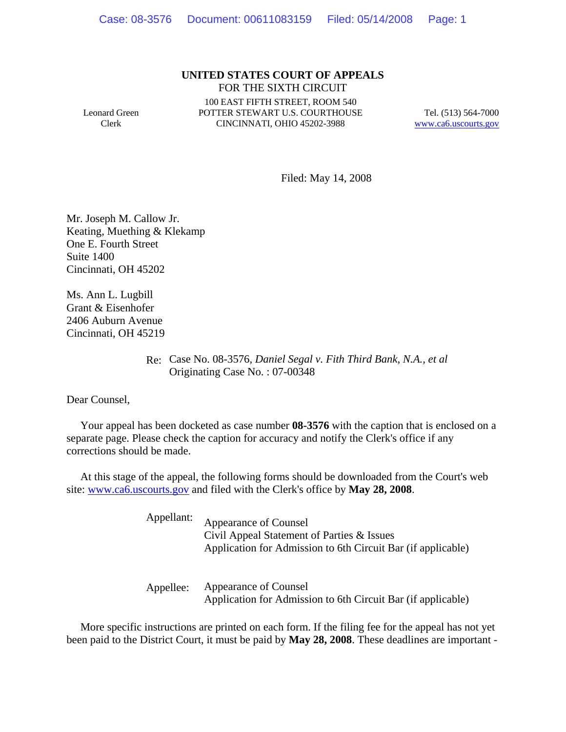## **UNITED STATES COURT OF APPEALS** FOR THE SIXTH CIRCUIT

Leonard Green Clerk

100 EAST FIFTH STREET, ROOM 540 POTTER STEWART U.S. COURTHOUSE CINCINNATI, OHIO 45202-3988

Tel. (513) 564-7000 www.ca6.uscourts.gov

Filed: May 14, 2008

Mr. Joseph M. Callow Jr. Keating, Muething & Klekamp One E. Fourth Street Suite 1400 Cincinnati, OH 45202

Ms. Ann L. Lugbill Grant & Eisenhofer 2406 Auburn Avenue Cincinnati, OH 45219

> Re: Case No. 08-3576*, Daniel Segal v. Fith Third Bank, N.A., et al* Originating Case No. : 07-00348

Dear Counsel,

 Your appeal has been docketed as case number **08-3576** with the caption that is enclosed on a separate page. Please check the caption for accuracy and notify the Clerk's office if any corrections should be made.

 At this stage of the appeal, the following forms should be downloaded from the Court's web site: www.ca6.uscourts.gov and filed with the Clerk's office by **May 28, 2008**.

> Appellant: Appearance of Counsel Civil Appeal Statement of Parties & Issues Application for Admission to 6th Circuit Bar (if applicable)

> Appellee: Appearance of Counsel Application for Admission to 6th Circuit Bar (if applicable)

 More specific instructions are printed on each form. If the filing fee for the appeal has not yet been paid to the District Court, it must be paid by **May 28, 2008**. These deadlines are important -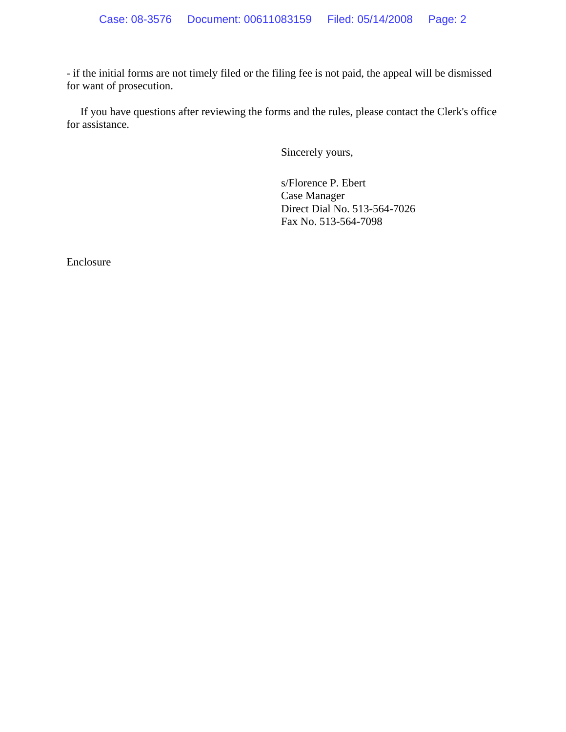- if the initial forms are not timely filed or the filing fee is not paid, the appeal will be dismissed for want of prosecution.

 If you have questions after reviewing the forms and the rules, please contact the Clerk's office for assistance.

Sincerely yours,

s/Florence P. Ebert Case Manager Direct Dial No. 513-564-7026 Fax No. 513-564-7098

Enclosure